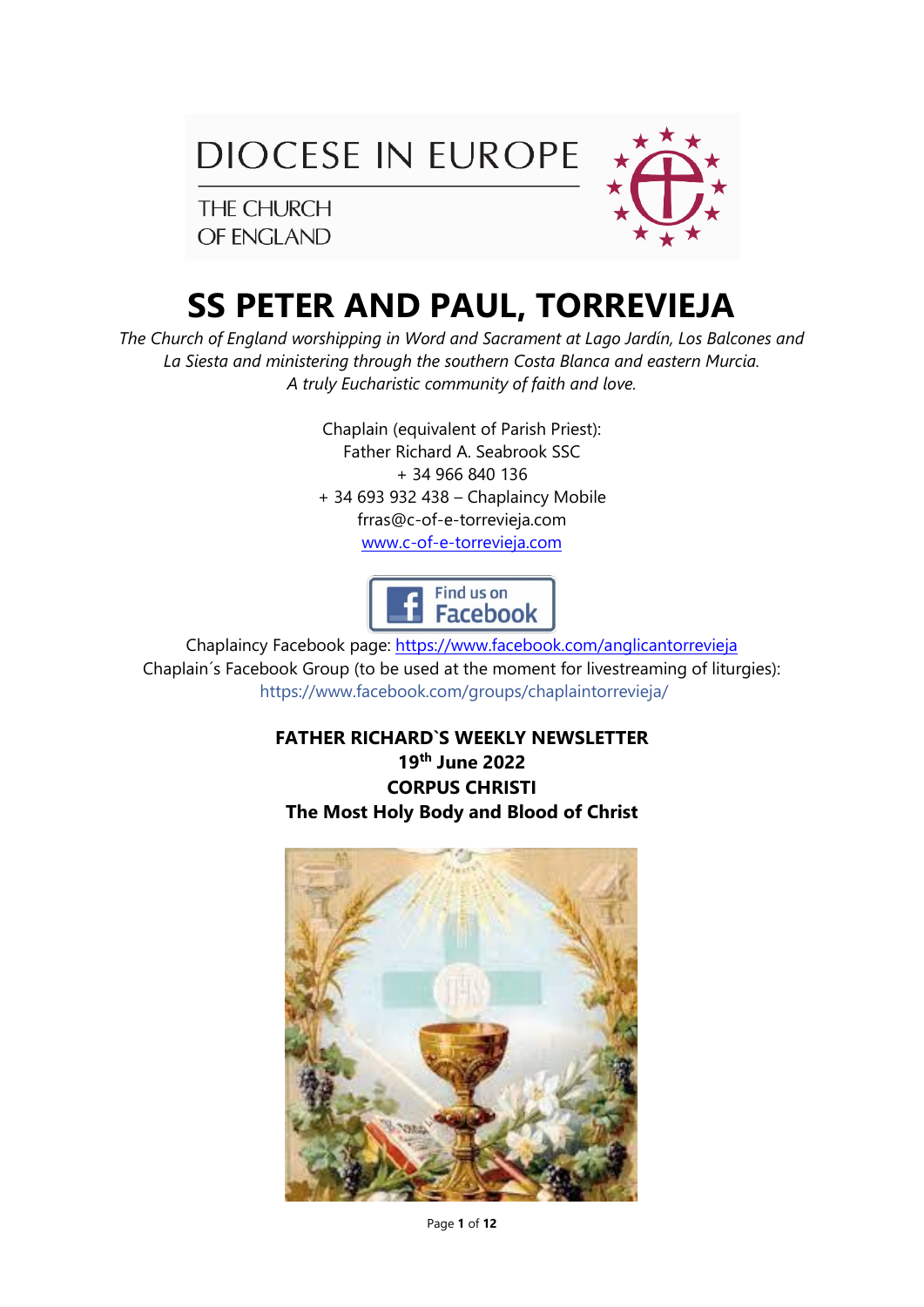

THE CHURCH OF ENGLAND



# **SS PETER AND PAUL, TORREVIEJA**

*The Church of England worshipping in Word and Sacrament at Lago Jardín, Los Balcones and La Siesta and ministering through the southern Costa Blanca and eastern Murcia. A truly Eucharistic community of faith and love.*

> Chaplain (equivalent of Parish Priest): Father Richard A. Seabrook SSC + 34 966 840 136 + 34 693 932 438 – Chaplaincy Mobile frras@c-of-e-torrevieja.com [www.c-of-e-torrevieja.com](http://www.c-of-e-torrevieja.com/)



Chaplaincy Facebook page: https://www.facebook.com/anglicantorrevieja Chaplain´s Facebook Group (to be used at the moment for livestreaming of liturgies): <https://www.facebook.com/groups/chaplaintorrevieja/>

> **FATHER RICHARD`S WEEKLY NEWSLETTER 19th June 2022 CORPUS CHRISTI The Most Holy Body and Blood of Christ**



Page **1** of **12**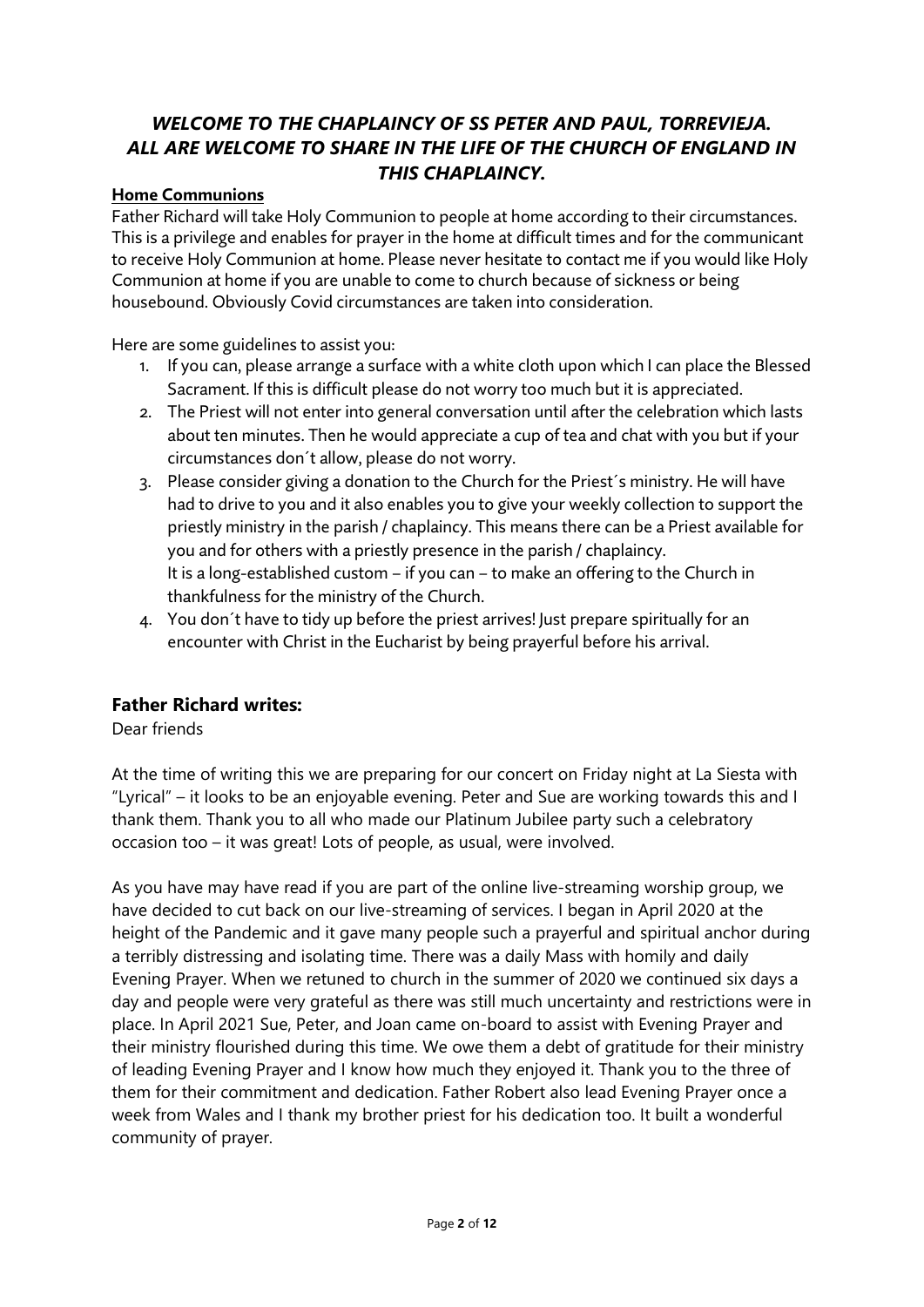# *WELCOME TO THE CHAPLAINCY OF SS PETER AND PAUL, TORREVIEJA. ALL ARE WELCOME TO SHARE IN THE LIFE OF THE CHURCH OF ENGLAND IN THIS CHAPLAINCY.*

#### **Home Communions**

Father Richard will take Holy Communion to people at home according to their circumstances. This is a privilege and enables for prayer in the home at difficult times and for the communicant to receive Holy Communion at home. Please never hesitate to contact me if you would like Holy Communion at home if you are unable to come to church because of sickness or being housebound. Obviously Covid circumstances are taken into consideration.

Here are some guidelines to assist you:

- 1. If you can, please arrange a surface with a white cloth upon which I can place the Blessed Sacrament. If this is difficult please do not worry too much but it is appreciated.
- 2. The Priest will not enter into general conversation until after the celebration which lasts about ten minutes. Then he would appreciate a cup of tea and chat with you but if your circumstances don´t allow, please do not worry.
- 3. Please consider giving a donation to the Church for the Priest´s ministry. He will have had to drive to you and it also enables you to give your weekly collection to support the priestly ministry in the parish / chaplaincy. This means there can be a Priest available for you and for others with a priestly presence in the parish / chaplaincy. It is a long-established custom – if you can – to make an offering to the Church in thankfulness for the ministry of the Church.
- 4. You don´t have to tidy up before the priest arrives! Just prepare spiritually for an encounter with Christ in the Eucharist by being prayerful before his arrival.

# **Father Richard writes:**

Dear friends

At the time of writing this we are preparing for our concert on Friday night at La Siesta with "Lyrical" – it looks to be an enjoyable evening. Peter and Sue are working towards this and I thank them. Thank you to all who made our Platinum Jubilee party such a celebratory occasion too – it was great! Lots of people, as usual, were involved.

As you have may have read if you are part of the online live-streaming worship group, we have decided to cut back on our live-streaming of services. I began in April 2020 at the height of the Pandemic and it gave many people such a prayerful and spiritual anchor during a terribly distressing and isolating time. There was a daily Mass with homily and daily Evening Prayer. When we retuned to church in the summer of 2020 we continued six days a day and people were very grateful as there was still much uncertainty and restrictions were in place. In April 2021 Sue, Peter, and Joan came on-board to assist with Evening Prayer and their ministry flourished during this time. We owe them a debt of gratitude for their ministry of leading Evening Prayer and I know how much they enjoyed it. Thank you to the three of them for their commitment and dedication. Father Robert also lead Evening Prayer once a week from Wales and I thank my brother priest for his dedication too. It built a wonderful community of prayer.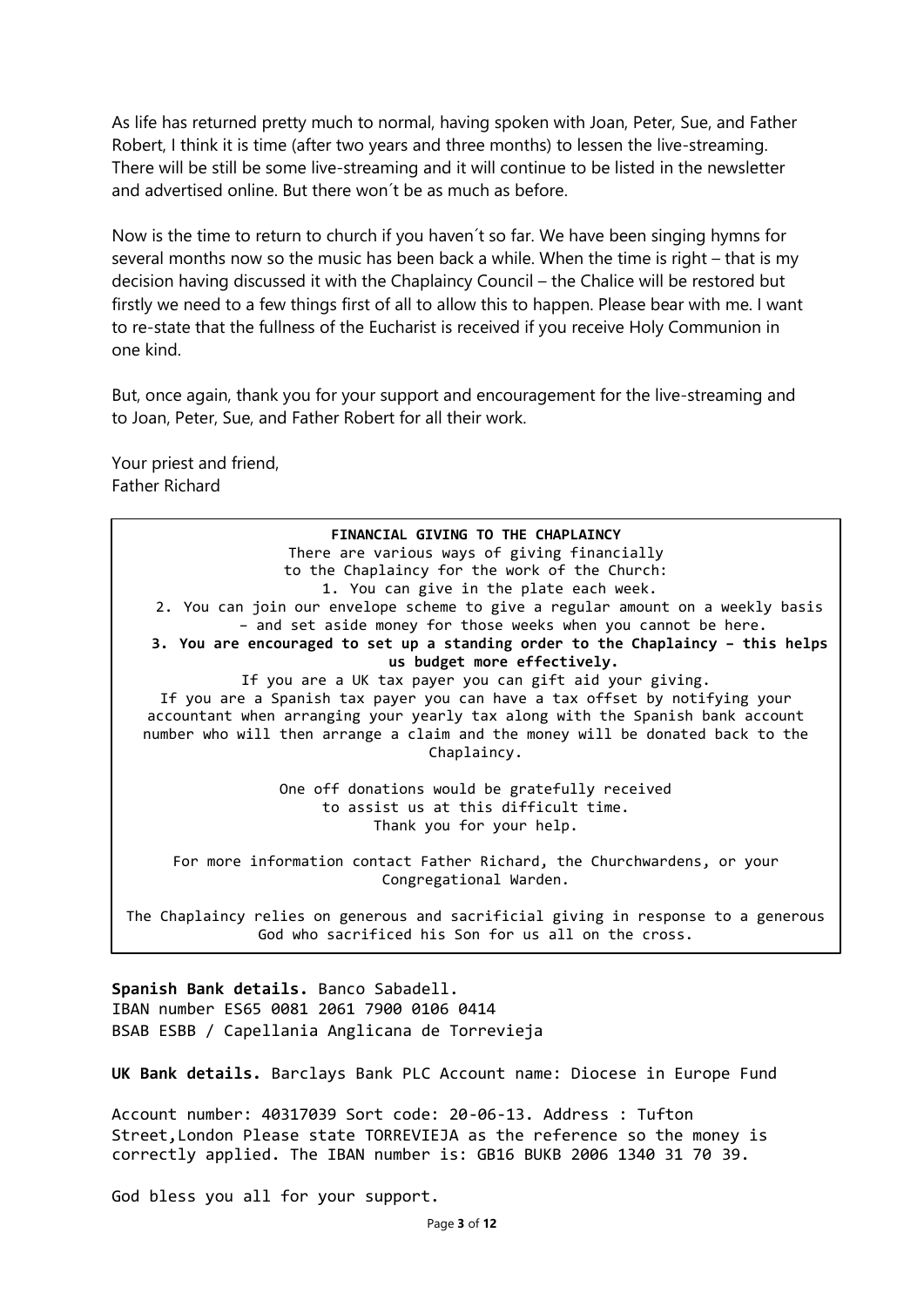As life has returned pretty much to normal, having spoken with Joan, Peter, Sue, and Father Robert, I think it is time (after two years and three months) to lessen the live-streaming. There will be still be some live-streaming and it will continue to be listed in the newsletter and advertised online. But there won´t be as much as before.

Now is the time to return to church if you haven´t so far. We have been singing hymns for several months now so the music has been back a while. When the time is right – that is my decision having discussed it with the Chaplaincy Council – the Chalice will be restored but firstly we need to a few things first of all to allow this to happen. Please bear with me. I want to re-state that the fullness of the Eucharist is received if you receive Holy Communion in one kind.

But, once again, thank you for your support and encouragement for the live-streaming and to Joan, Peter, Sue, and Father Robert for all their work.

Your priest and friend, Father Richard

**FINANCIAL GIVING TO THE CHAPLAINCY** There are various ways of giving financially to the Chaplaincy for the work of the Church: 1. You can give in the plate each week. 2. You can join our envelope scheme to give a regular amount on a weekly basis - and set aside money for those weeks when you cannot be here. **3. You are encouraged to set up a standing order to the Chaplaincy – this helps us budget more effectively.** If you are a UK tax payer you can gift aid your giving. If you are a Spanish tax payer you can have a tax offset by notifying your accountant when arranging your yearly tax along with the Spanish bank account number who will then arrange a claim and the money will be donated back to the Chaplaincy. One off donations would be gratefully received to assist us at this difficult time. Thank you for your help. For more information contact Father Richard, the Churchwardens, or your Congregational Warden. The Chaplaincy relies on generous and sacrificial giving in response to a generous God who sacrificed his Son for us all on the cross.

**Spanish Bank details.** Banco Sabadell. IBAN number ES65 0081 2061 7900 0106 0414

BSAB ESBB / Capellania Anglicana de Torrevieja

**UK Bank details.** Barclays Bank PLC Account name: Diocese in Europe Fund

Account number: 40317039 Sort code: 20-06-13. Address : Tufton Street,London Please state TORREVIEJA as the reference so the money is correctly applied. The IBAN number is: GB16 BUKB 2006 1340 31 70 39.

God bless you all for your support.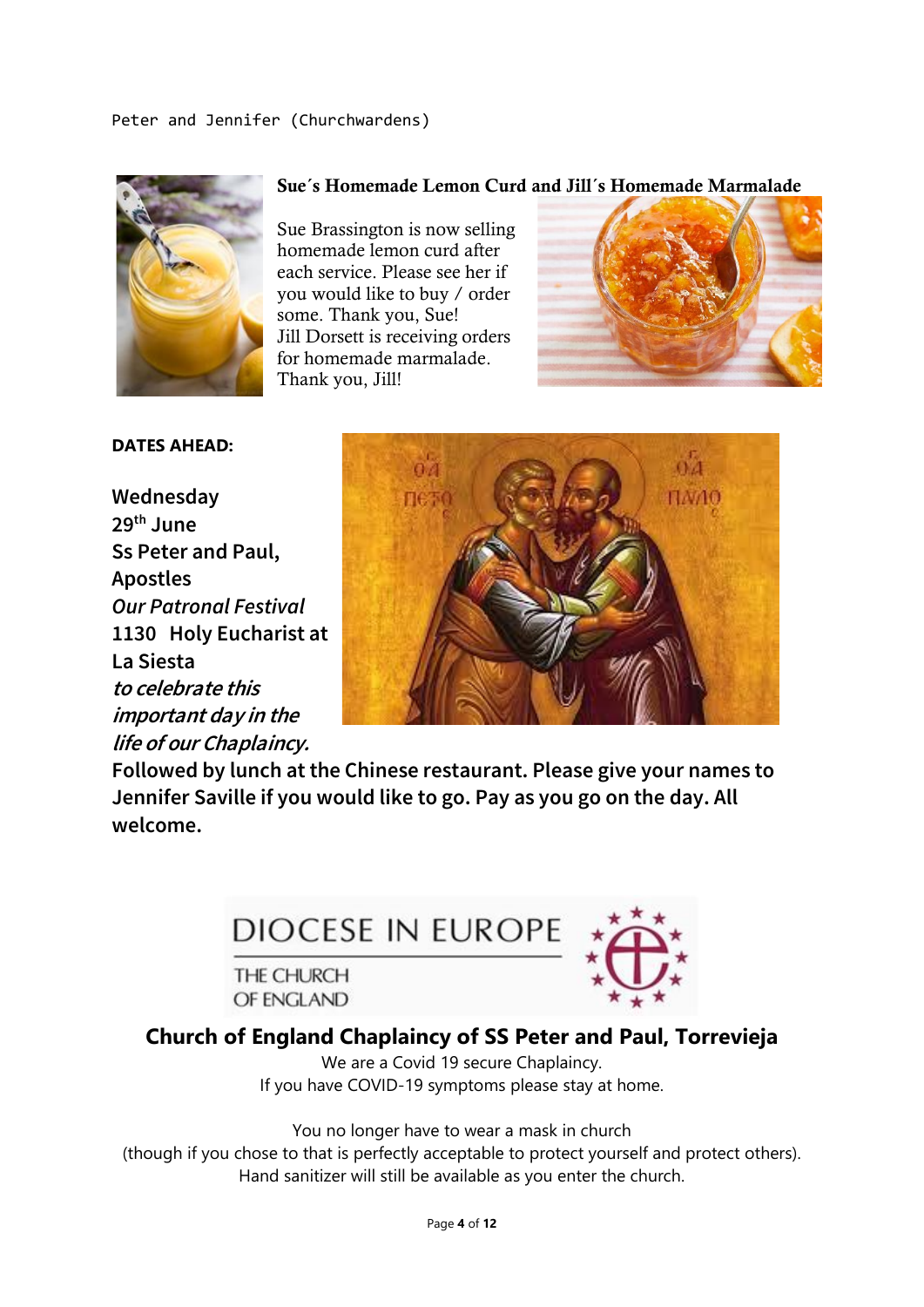#### Peter and Jennifer (Churchwardens)



#### Sue´s Homemade Lemon Curd and Jill´s Homemade Marmalade

Sue Brassington is now selling homemade lemon curd after each service. Please see her if you would like to buy / order some. Thank you, Sue! Jill Dorsett is receiving orders for homemade marmalade. Thank you, Jill!



**DATES AHEAD:**

**Wednesday 29th June Ss Peter and Paul, Apostles** *Our Patronal Festival* **1130 Holy Eucharist at La Siesta to celebrate this important day in the life of our Chaplaincy.**



**Followed by lunch at the Chinese restaurant. Please give your names to Jennifer Saville if you would like to go. Pay as you go on the day. All welcome.**

DIOCESE IN EUROPE

THE CHURCH OF ENGLAND



# **Church of England Chaplaincy of SS Peter and Paul, Torrevieja**

We are a Covid 19 secure Chaplaincy. If you have COVID-19 symptoms please stay at home.

You no longer have to wear a mask in church (though if you chose to that is perfectly acceptable to protect yourself and protect others). Hand sanitizer will still be available as you enter the church.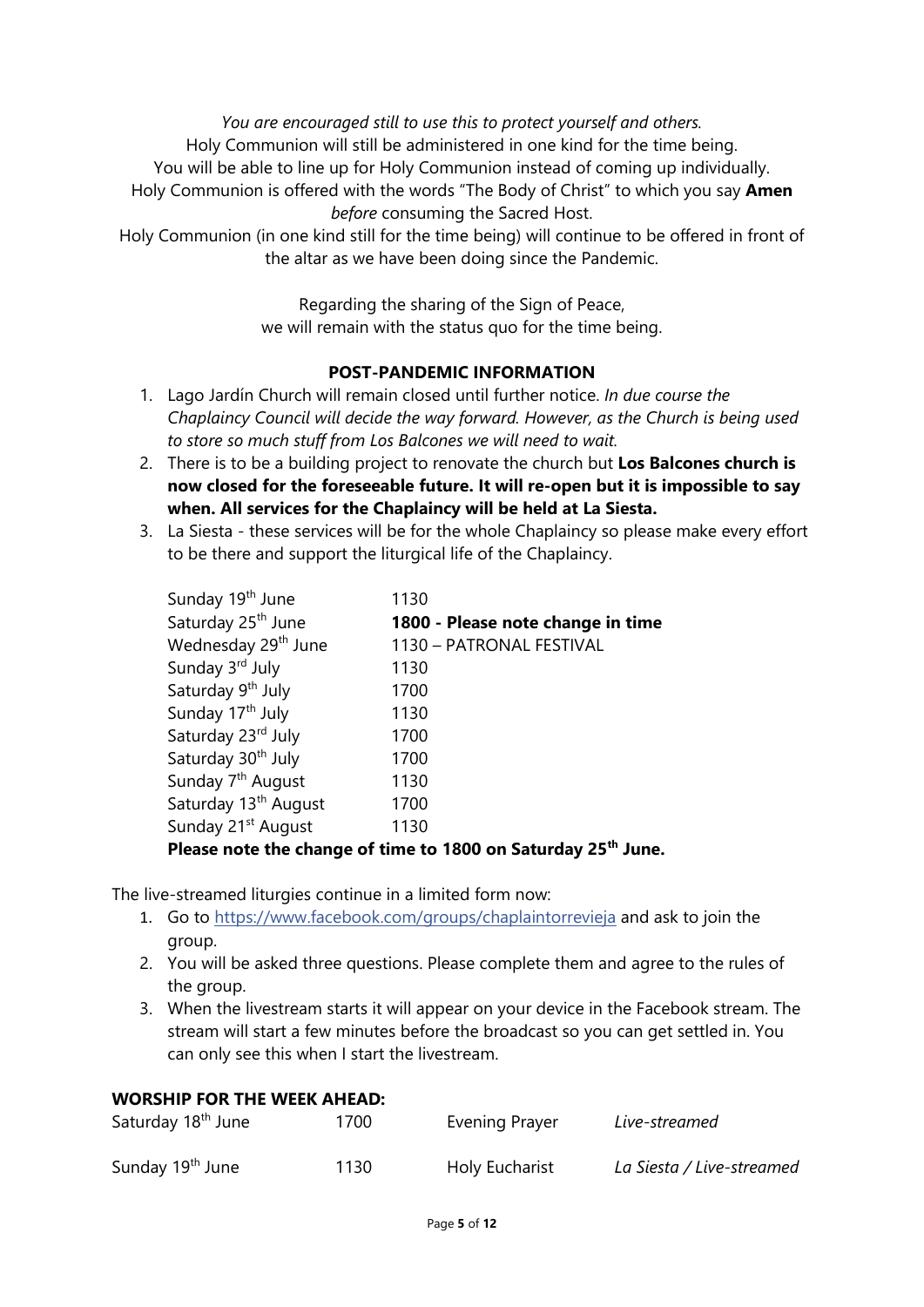*You are encouraged still to use this to protect yourself and others.* Holy Communion will still be administered in one kind for the time being. You will be able to line up for Holy Communion instead of coming up individually. Holy Communion is offered with the words "The Body of Christ" to which you say **Amen**  *before* consuming the Sacred Host.

Holy Communion (in one kind still for the time being) will continue to be offered in front of the altar as we have been doing since the Pandemic.

> Regarding the sharing of the Sign of Peace, we will remain with the status quo for the time being.

#### **POST-PANDEMIC INFORMATION**

- 1. Lago Jardín Church will remain closed until further notice. *In due course the Chaplaincy Council will decide the way forward. However, as the Church is being used to store so much stuff from Los Balcones we will need to wait.*
- 2. There is to be a building project to renovate the church but **Los Balcones church is now closed for the foreseeable future. It will re-open but it is impossible to say when. All services for the Chaplaincy will be held at La Siesta.**
- 3. La Siesta these services will be for the whole Chaplaincy so please make every effort to be there and support the liturgical life of the Chaplaincy.

| Sunday 19 <sup>th</sup> June     | 1130                              |
|----------------------------------|-----------------------------------|
| Saturday 25 <sup>th</sup> June   | 1800 - Please note change in time |
| Wednesday 29 <sup>th</sup> June  | 1130 - PATRONAL FESTIVAL          |
| Sunday 3rd July                  | 1130                              |
| Saturday 9 <sup>th</sup> July    | 1700                              |
| Sunday 17 <sup>th</sup> July     | 1130                              |
| Saturday 23rd July               | 1700                              |
| Saturday 30 <sup>th</sup> July   | 1700                              |
| Sunday 7 <sup>th</sup> August    | 1130                              |
| Saturday 13 <sup>th</sup> August | 1700                              |
| Sunday 21 <sup>st</sup> August   | 1130                              |
|                                  |                                   |

#### **Please note the change of time to 1800 on Saturday 25th June.**

The live-streamed liturgies continue in a limited form now:

- 1. Go to [https://www.facebook.com/groups/chaplaintorrevieja](https://www.facebook.com/groups/chaplaintorrevieja/) and ask to join the group.
- 2. You will be asked three questions. Please complete them and agree to the rules of the group.
- 3. When the livestream starts it will appear on your device in the Facebook stream. The stream will start a few minutes before the broadcast so you can get settled in. You can only see this when I start the livestream.

# **WORSHIP FOR THE WEEK AHEAD:**

| Saturday 18 <sup>th</sup> June | 1700 | Evening Prayer | Live-streamed             |
|--------------------------------|------|----------------|---------------------------|
| Sunday 19 <sup>th</sup> June   | 1130 | Holy Eucharist | La Siesta / Live-streamed |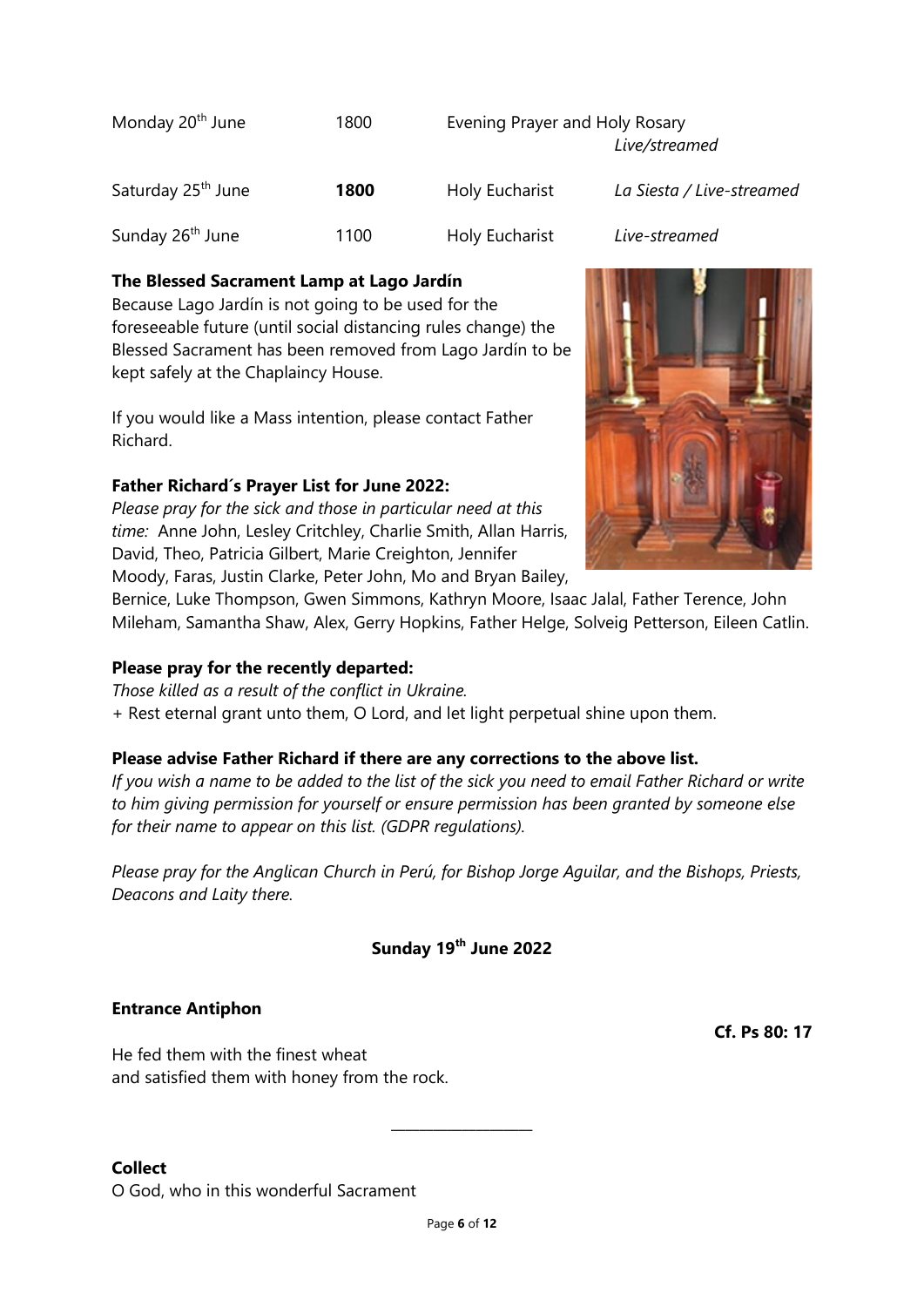| Monday 20 <sup>th</sup> June   | 1800 | Evening Prayer and Holy Rosary |                           |  |
|--------------------------------|------|--------------------------------|---------------------------|--|
|                                |      |                                | Live/streamed             |  |
| Saturday 25 <sup>th</sup> June | 1800 | Holy Eucharist                 | La Siesta / Live-streamed |  |
| Sunday 26 <sup>th</sup> June   | 1100 | Holy Eucharist                 | Live-streamed             |  |

#### **The Blessed Sacrament Lamp at Lago Jardín**

Because Lago Jardín is not going to be used for the foreseeable future (until social distancing rules change) the Blessed Sacrament has been removed from Lago Jardín to be kept safely at the Chaplaincy House.

If you would like a Mass intention, please contact Father Richard.

# **Father Richard´s Prayer List for June 2022:**

*Please pray for the sick and those in particular need at this time:* Anne John, Lesley Critchley, Charlie Smith, Allan Harris, David, Theo, Patricia Gilbert, Marie Creighton, Jennifer Moody, Faras, Justin Clarke, Peter John, Mo and Bryan Bailey,



Bernice, Luke Thompson, Gwen Simmons, Kathryn Moore, Isaac Jalal, Father Terence, John Mileham, Samantha Shaw, Alex, Gerry Hopkins, Father Helge, Solveig Petterson, Eileen Catlin.

#### **Please pray for the recently departed:**

*Those killed as a result of the conflict in Ukraine.*

+ Rest eternal grant unto them, O Lord, and let light perpetual shine upon them.

#### **Please advise Father Richard if there are any corrections to the above list.**

*If you wish a name to be added to the list of the sick you need to email Father Richard or write to him giving permission for yourself or ensure permission has been granted by someone else for their name to appear on this list. (GDPR regulations).* 

*Please pray for the Anglican Church in Perú, for Bishop Jorge Aguilar, and the Bishops, Priests, Deacons and Laity there.*

# **Sunday 19th June 2022**

#### **Entrance Antiphon**

He fed them with the finest wheat and satisfied them with honey from the rock.

\_\_\_\_\_\_\_\_\_\_\_\_\_\_\_\_\_\_\_\_

**Cf. Ps 80: 17**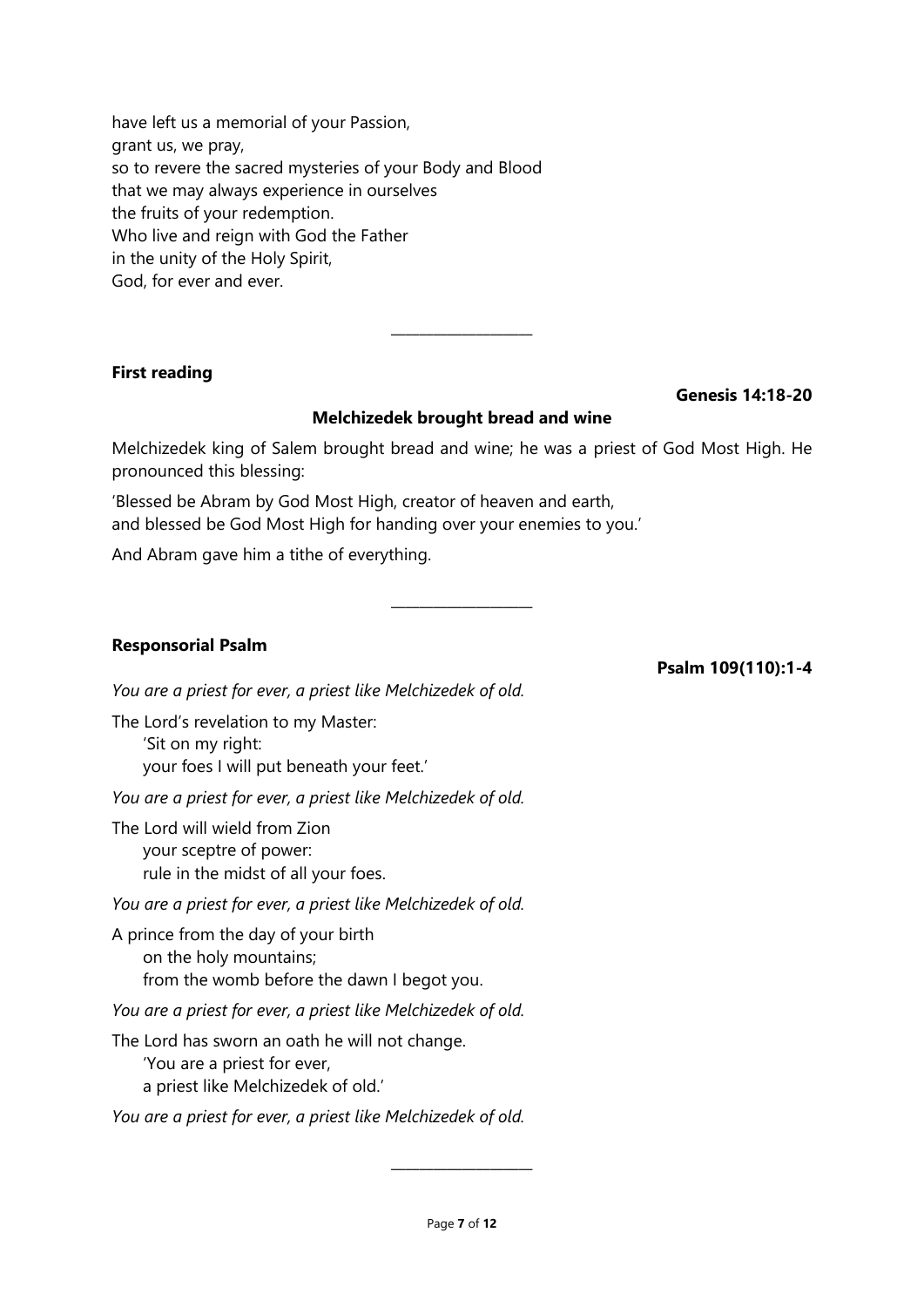$\overline{\phantom{a}}$  , where  $\overline{\phantom{a}}$ 

have left us a memorial of your Passion, grant us, we pray, so to revere the sacred mysteries of your Body and Blood that we may always experience in ourselves the fruits of your redemption. Who live and reign with God the Father in the unity of the Holy Spirit, God, for ever and ever.

# **First reading**

#### **Melchizedek brought bread and wine**

\_\_\_\_\_\_\_\_\_\_\_\_\_\_\_\_\_\_\_\_

Melchizedek king of Salem brought bread and wine; he was a priest of God Most High. He pronounced this blessing:

 $\overline{\phantom{a}}$  , where  $\overline{\phantom{a}}$ 

'Blessed be Abram by God Most High, creator of heaven and earth, and blessed be God Most High for handing over your enemies to you.'

And Abram gave him a tithe of everything.

# **Responsorial Psalm**

*You are a priest for ever, a priest like Melchizedek of old.*

The Lord's revelation to my Master: 'Sit on my right: your foes I will put beneath your feet.'

*You are a priest for ever, a priest like Melchizedek of old.*

The Lord will wield from Zion your sceptre of power: rule in the midst of all your foes.

*You are a priest for ever, a priest like Melchizedek of old.*

A prince from the day of your birth on the holy mountains; from the womb before the dawn I begot you.

*You are a priest for ever, a priest like Melchizedek of old.*

The Lord has sworn an oath he will not change.

'You are a priest for ever, a priest like Melchizedek of old.'

*You are a priest for ever, a priest like Melchizedek of old.*

#### **Psalm 109(110):1-4**

**Genesis 14:18-20**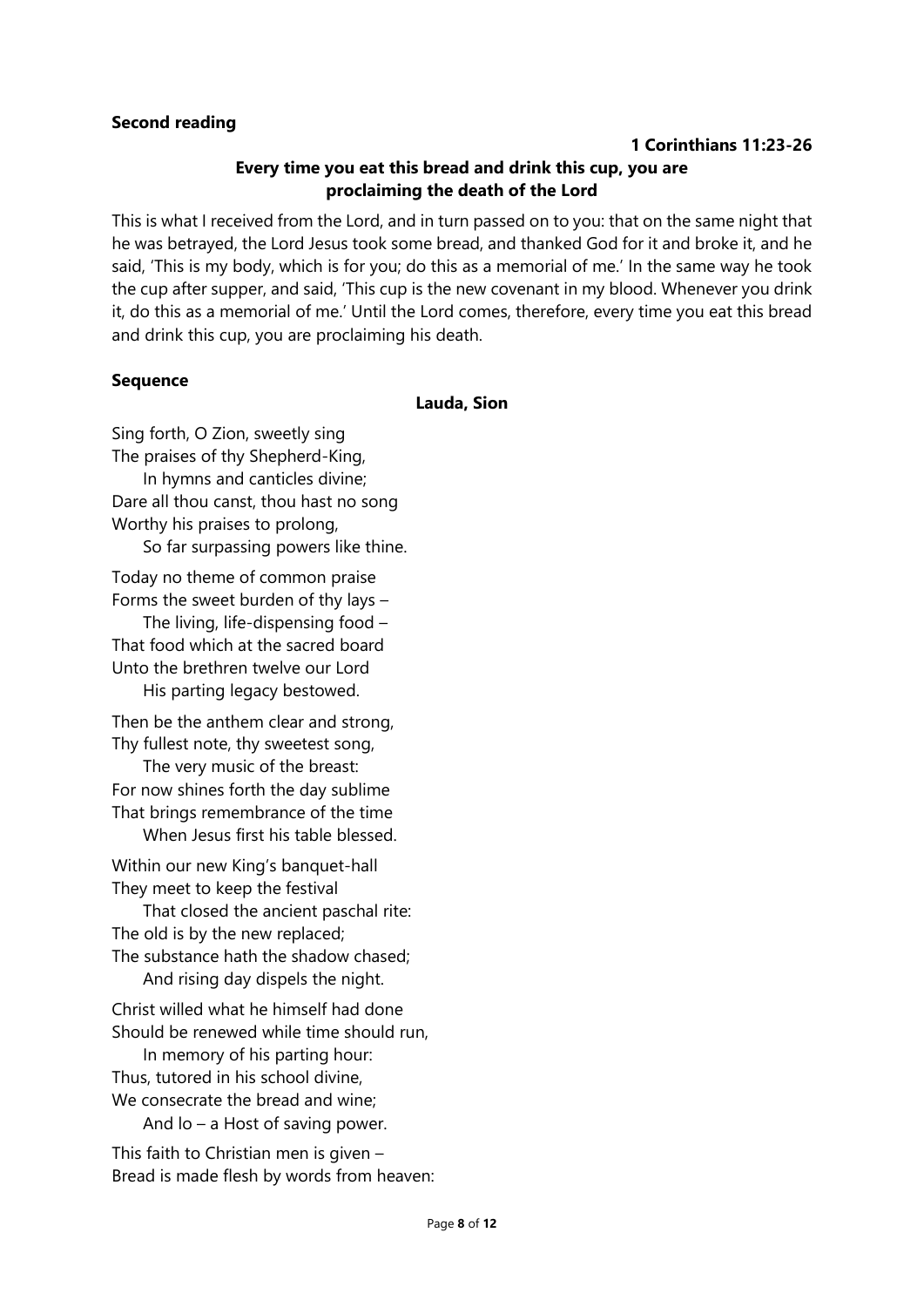#### **Second reading**

#### **1 Corinthians 11:23-26**

#### **Every time you eat this bread and drink this cup, you are proclaiming the death of the Lord**

This is what I received from the Lord, and in turn passed on to you: that on the same night that he was betrayed, the Lord Jesus took some bread, and thanked God for it and broke it, and he said, 'This is my body, which is for you; do this as a memorial of me.' In the same way he took the cup after supper, and said, 'This cup is the new covenant in my blood. Whenever you drink it, do this as a memorial of me.' Until the Lord comes, therefore, every time you eat this bread and drink this cup, you are proclaiming his death.

#### **Sequence**

#### **Lauda, Sion**

Sing forth, O Zion, sweetly sing The praises of thy Shepherd-King, In hymns and canticles divine; Dare all thou canst, thou hast no song Worthy his praises to prolong, So far surpassing powers like thine.

Today no theme of common praise Forms the sweet burden of thy lays – The living, life-dispensing food –

That food which at the sacred board Unto the brethren twelve our Lord His parting legacy bestowed.

Then be the anthem clear and strong, Thy fullest note, thy sweetest song,

The very music of the breast: For now shines forth the day sublime That brings remembrance of the time When Jesus first his table blessed.

Within our new King's banquet-hall They meet to keep the festival

That closed the ancient paschal rite: The old is by the new replaced; The substance hath the shadow chased; And rising day dispels the night.

Christ willed what he himself had done Should be renewed while time should run,

In memory of his parting hour: Thus, tutored in his school divine, We consecrate the bread and wine;

And lo – a Host of saving power.

This faith to Christian men is given – Bread is made flesh by words from heaven: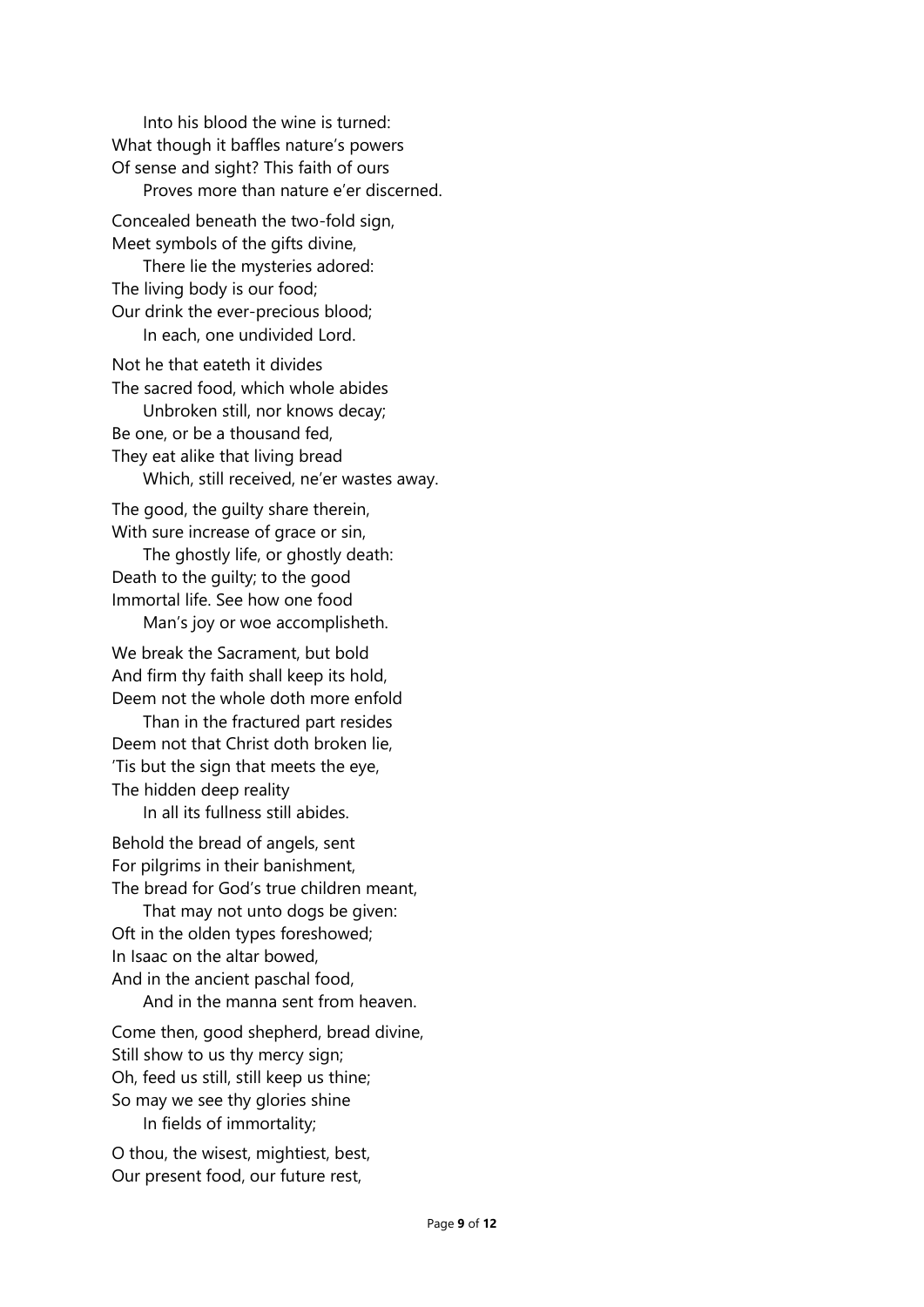Into his blood the wine is turned: What though it baffles nature's powers Of sense and sight? This faith of ours Proves more than nature e'er discerned.

Concealed beneath the two-fold sign, Meet symbols of the gifts divine,

There lie the mysteries adored: The living body is our food; Our drink the ever-precious blood; In each, one undivided Lord.

Not he that eateth it divides The sacred food, which whole abides Unbroken still, nor knows decay; Be one, or be a thousand fed, They eat alike that living bread Which, still received, ne'er wastes away.

The good, the guilty share therein, With sure increase of grace or sin,

The ghostly life, or ghostly death: Death to the guilty; to the good Immortal life. See how one food Man's joy or woe accomplisheth.

We break the Sacrament, but bold And firm thy faith shall keep its hold, Deem not the whole doth more enfold

Than in the fractured part resides Deem not that Christ doth broken lie, 'Tis but the sign that meets the eye, The hidden deep reality

In all its fullness still abides.

Behold the bread of angels, sent For pilgrims in their banishment, The bread for God's true children meant,

That may not unto dogs be given: Oft in the olden types foreshowed; In Isaac on the altar bowed, And in the ancient paschal food, And in the manna sent from heaven.

Come then, good shepherd, bread divine, Still show to us thy mercy sign; Oh, feed us still, still keep us thine; So may we see thy glories shine In fields of immortality;

O thou, the wisest, mightiest, best, Our present food, our future rest,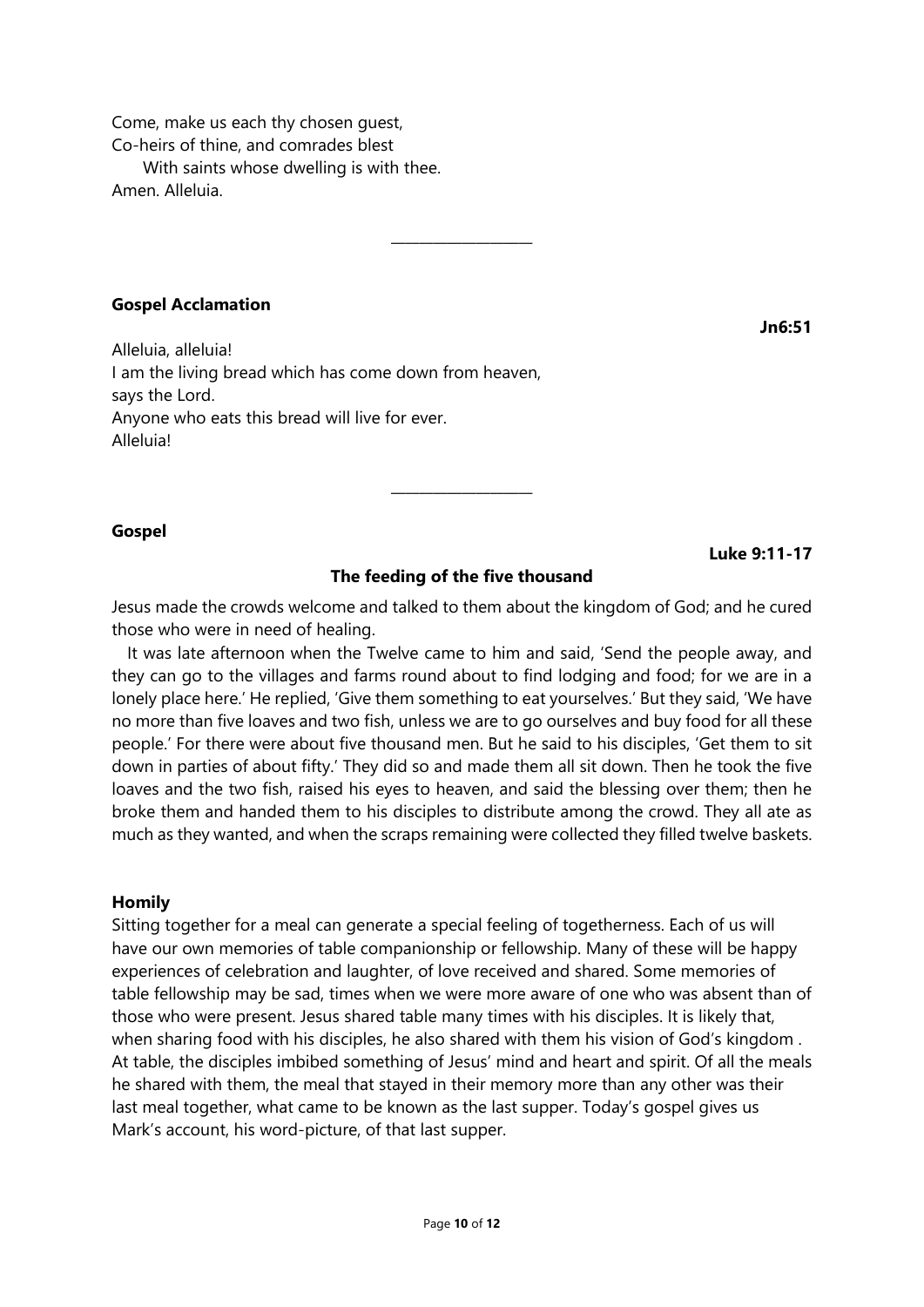Come, make us each thy chosen guest,

Co-heirs of thine, and comrades blest

With saints whose dwelling is with thee. Amen. Alleluia.

# **Gospel Acclamation**

Alleluia, alleluia! I am the living bread which has come down from heaven, says the Lord. Anyone who eats this bread will live for ever. Alleluia!

**Gospel**

#### **Luke 9:11-17**

# **The feeding of the five thousand**

 $\overline{\phantom{a}}$  , where  $\overline{\phantom{a}}$ 

 $\overline{\phantom{a}}$  , where  $\overline{\phantom{a}}$ 

Jesus made the crowds welcome and talked to them about the kingdom of God; and he cured those who were in need of healing.

It was late afternoon when the Twelve came to him and said, 'Send the people away, and they can go to the villages and farms round about to find lodging and food; for we are in a lonely place here.' He replied, 'Give them something to eat yourselves.' But they said, 'We have no more than five loaves and two fish, unless we are to go ourselves and buy food for all these people.' For there were about five thousand men. But he said to his disciples, 'Get them to sit down in parties of about fifty.' They did so and made them all sit down. Then he took the five loaves and the two fish, raised his eyes to heaven, and said the blessing over them; then he broke them and handed them to his disciples to distribute among the crowd. They all ate as much as they wanted, and when the scraps remaining were collected they filled twelve baskets.

#### **Homily**

Sitting together for a meal can generate a special feeling of togetherness. Each of us will have our own memories of table companionship or fellowship. Many of these will be happy experiences of celebration and laughter, of love received and shared. Some memories of table fellowship may be sad, times when we were more aware of one who was absent than of those who were present. Jesus shared table many times with his disciples. It is likely that, when sharing food with his disciples, he also shared with them his vision of God's kingdom . At table, the disciples imbibed something of Jesus' mind and heart and spirit. Of all the meals he shared with them, the meal that stayed in their memory more than any other was their last meal together, what came to be known as the last supper. Today's gospel gives us Mark's account, his word-picture, of that last supper.

**Jn6:51**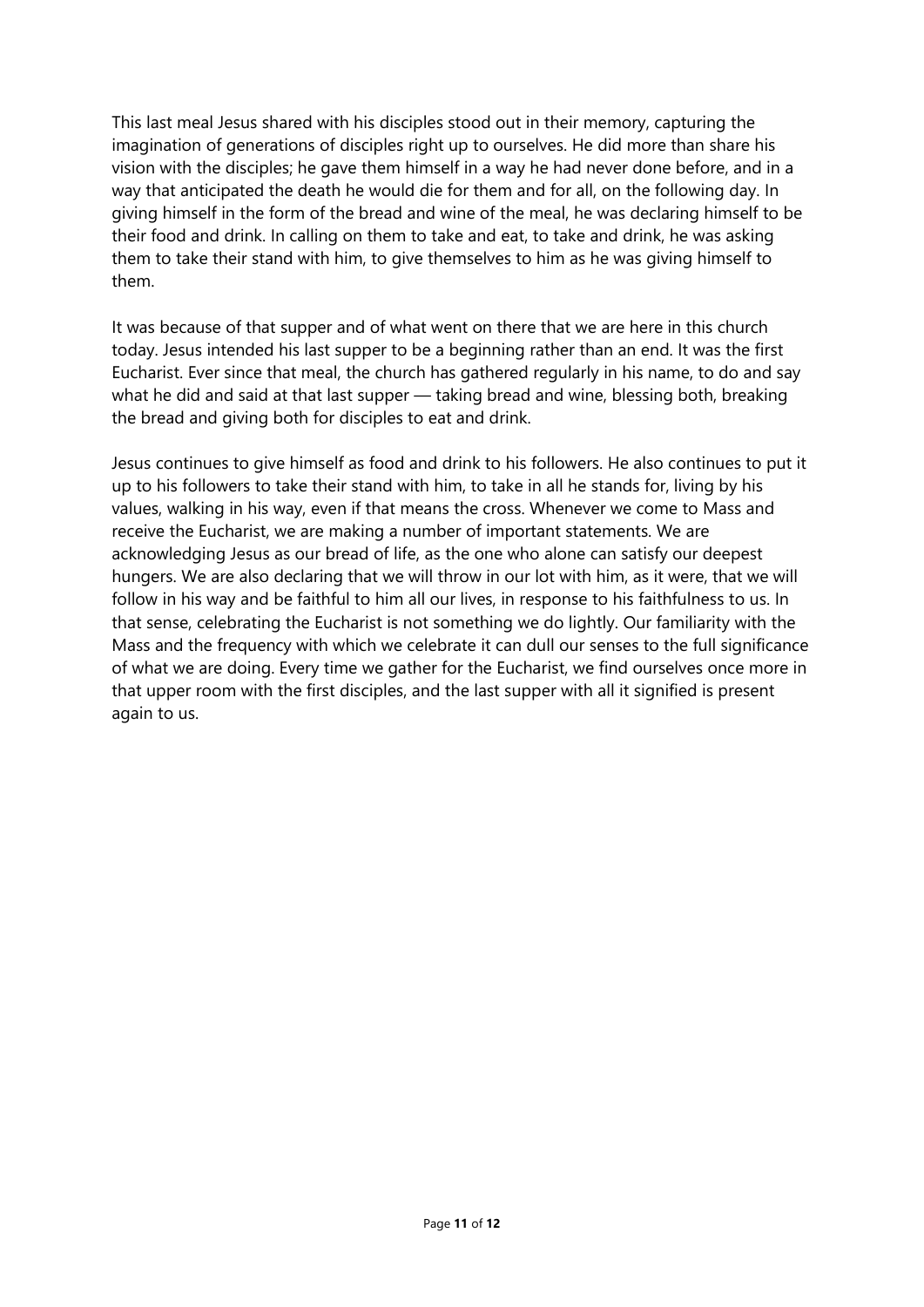This last meal Jesus shared with his disciples stood out in their memory, capturing the imagination of generations of disciples right up to ourselves. He did more than share his vision with the disciples; he gave them himself in a way he had never done before, and in a way that anticipated the death he would die for them and for all, on the following day. In giving himself in the form of the bread and wine of the meal, he was declaring himself to be their food and drink. In calling on them to take and eat, to take and drink, he was asking them to take their stand with him, to give themselves to him as he was giving himself to them.

It was because of that supper and of what went on there that we are here in this church today. Jesus intended his last supper to be a beginning rather than an end. It was the first Eucharist. Ever since that meal, the church has gathered regularly in his name, to do and say what he did and said at that last supper — taking bread and wine, blessing both, breaking the bread and giving both for disciples to eat and drink.

Jesus continues to give himself as food and drink to his followers. He also continues to put it up to his followers to take their stand with him, to take in all he stands for, living by his values, walking in his way, even if that means the cross. Whenever we come to Mass and receive the Eucharist, we are making a number of important statements. We are acknowledging Jesus as our bread of life, as the one who alone can satisfy our deepest hungers. We are also declaring that we will throw in our lot with him, as it were, that we will follow in his way and be faithful to him all our lives, in response to his faithfulness to us. In that sense, celebrating the Eucharist is not something we do lightly. Our familiarity with the Mass and the frequency with which we celebrate it can dull our senses to the full significance of what we are doing. Every time we gather for the Eucharist, we find ourselves once more in that upper room with the first disciples, and the last supper with all it signified is present again to us.